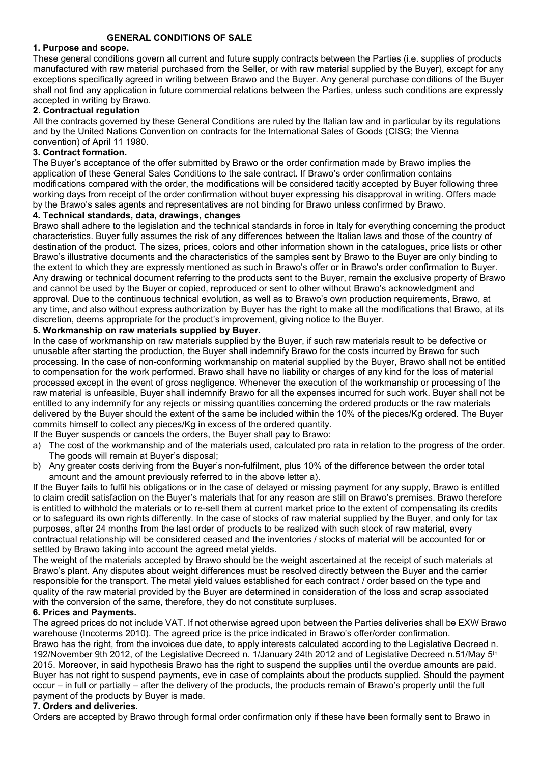## 1. Purpose and scope.

These general conditions govern all current and future supply contracts between the Parties (i.e. supplies of products manufactured with raw material purchased from the Seller, or with raw material supplied by the Buyer), except for any exceptions specifically agreed in writing between Brawo and the Buyer. Any general purchase conditions of the Buyer shall not find any application in future commercial relations between the Parties, unless such conditions are expressly accepted in writing by Brawo.

### 2. Contractual regulation

All the contracts governed by these General Conditions are ruled by the Italian law and in particular by its regulations and by the United Nations Convention on contracts for the International Sales of Goods (CISG; the Vienna convention) of April 11 1980.

### 3. Contract formation.

The Buyer's acceptance of the offer submitted by Brawo or the order confirmation made by Brawo implies the application of these General Sales Conditions to the sale contract. If Brawo's order confirmation contains modifications compared with the order, the modifications will be considered tacitly accepted by Buyer following three working days from receipt of the order confirmation without buyer expressing his disapproval in writing. Offers made by the Brawo's sales agents and representatives are not binding for Brawo unless confirmed by Brawo.

#### 4. Technical standards, data, drawings, changes

Brawo shall adhere to the legislation and the technical standards in force in Italy for everything concerning the product characteristics. Buyer fully assumes the risk of any differences between the Italian laws and those of the country of destination of the product. The sizes, prices, colors and other information shown in the catalogues, price lists or other Brawo's illustrative documents and the characteristics of the samples sent by Brawo to the Buyer are only binding to the extent to which they are expressly mentioned as such in Brawo's offer or in Brawo's order confirmation to Buyer. Any drawing or technical document referring to the products sent to the Buyer, remain the exclusive property of Brawo and cannot be used by the Buyer or copied, reproduced or sent to other without Brawo's acknowledgment and approval. Due to the continuous technical evolution, as well as to Brawo's own production requirements, Brawo, at any time, and also without express authorization by Buyer has the right to make all the modifications that Brawo, at its discretion, deems appropriate for the product's improvement, giving notice to the Buyer.

### 5. Workmanship on raw materials supplied by Buyer.

In the case of workmanship on raw materials supplied by the Buyer, if such raw materials result to be defective or unusable after starting the production, the Buyer shall indemnify Brawo for the costs incurred by Brawo for such processing. In the case of non-conforming workmanship on material supplied by the Buyer, Brawo shall not be entitled to compensation for the work performed. Brawo shall have no liability or charges of any kind for the loss of material processed except in the event of gross negligence. Whenever the execution of the workmanship or processing of the raw material is unfeasible, Buyer shall indemnify Brawo for all the expenses incurred for such work. Buyer shall not be entitled to any indemnify for any rejects or missing quantities concerning the ordered products or the raw materials delivered by the Buyer should the extent of the same be included within the 10% of the pieces/Kg ordered. The Buyer commits himself to collect any pieces/Kg in excess of the ordered quantity.

If the Buyer suspends or cancels the orders, the Buyer shall pay to Brawo:

- a) The cost of the workmanship and of the materials used, calculated pro rata in relation to the progress of the order. The goods will remain at Buyer's disposal;
- b) Any greater costs deriving from the Buyer's non-fulfilment, plus 10% of the difference between the order total amount and the amount previously referred to in the above letter a).

If the Buyer fails to fulfil his obligations or in the case of delayed or missing payment for any supply, Brawo is entitled to claim credit satisfaction on the Buyer's materials that for any reason are still on Brawo's premises. Brawo therefore is entitled to withhold the materials or to re-sell them at current market price to the extent of compensating its credits or to safeguard its own rights differently. In the case of stocks of raw material supplied by the Buyer, and only for tax purposes, after 24 months from the last order of products to be realized with such stock of raw material, every contractual relationship will be considered ceased and the inventories / stocks of material will be accounted for or settled by Brawo taking into account the agreed metal yields.

The weight of the materials accepted by Brawo should be the weight ascertained at the receipt of such materials at Brawo's plant. Any disputes about weight differences must be resolved directly between the Buyer and the carrier responsible for the transport. The metal yield values established for each contract / order based on the type and quality of the raw material provided by the Buyer are determined in consideration of the loss and scrap associated with the conversion of the same, therefore, they do not constitute surpluses.

### 6. Prices and Payments.

The agreed prices do not include VAT. If not otherwise agreed upon between the Parties deliveries shall be EXW Brawo warehouse (Incoterms 2010). The agreed price is the price indicated in Brawo's offer/order confirmation. Brawo has the right, from the invoices due date, to apply interests calculated according to the Legislative Decreed n. 192/November 9th 2012, of the Legislative Decreed n. 1/January 24th 2012 and of Legislative Decreed n.51/May 5<sup>th</sup> 2015. Moreover, in said hypothesis Brawo has the right to suspend the supplies until the overdue amounts are paid. Buyer has not right to suspend payments, eve in case of complaints about the products supplied. Should the payment occur – in full or partially – after the delivery of the products, the products remain of Brawo's property until the full payment of the products by Buyer is made.

# 7. Orders and deliveries.

Orders are accepted by Brawo through formal order confirmation only if these have been formally sent to Brawo in